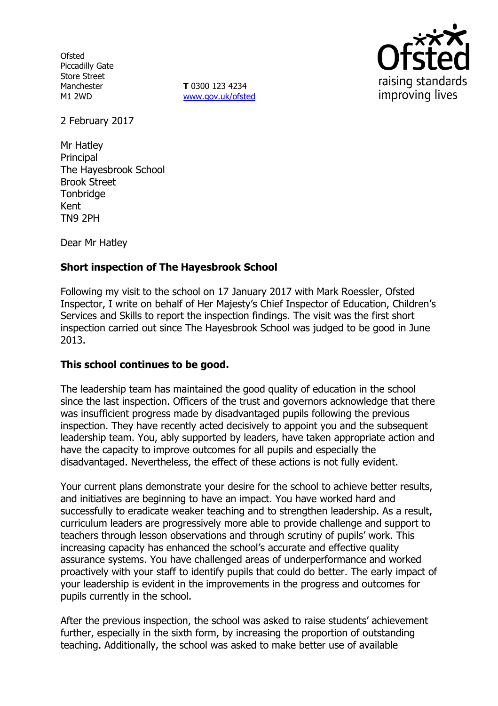**Ofsted** Piccadilly Gate Store Street Manchester M1 2WD

**T** 0300 123 4234 www.gov.uk/ofsted



2 February 2017

Mr Hatley **Principal** The Hayesbrook School Brook Street **Tonbridge** Kent TN9 2PH

Dear Mr Hatley

# **Short inspection of The Hayesbrook School**

Following my visit to the school on 17 January 2017 with Mark Roessler, Ofsted Inspector, I write on behalf of Her Majesty's Chief Inspector of Education, Children's Services and Skills to report the inspection findings. The visit was the first short inspection carried out since The Hayesbrook School was judged to be good in June 2013.

## **This school continues to be good.**

The leadership team has maintained the good quality of education in the school since the last inspection. Officers of the trust and governors acknowledge that there was insufficient progress made by disadvantaged pupils following the previous inspection. They have recently acted decisively to appoint you and the subsequent leadership team. You, ably supported by leaders, have taken appropriate action and have the capacity to improve outcomes for all pupils and especially the disadvantaged. Nevertheless, the effect of these actions is not fully evident.

Your current plans demonstrate your desire for the school to achieve better results, and initiatives are beginning to have an impact. You have worked hard and successfully to eradicate weaker teaching and to strengthen leadership. As a result, curriculum leaders are progressively more able to provide challenge and support to teachers through lesson observations and through scrutiny of pupils' work. This increasing capacity has enhanced the school's accurate and effective quality assurance systems. You have challenged areas of underperformance and worked proactively with your staff to identify pupils that could do better. The early impact of your leadership is evident in the improvements in the progress and outcomes for pupils currently in the school.

After the previous inspection, the school was asked to raise students' achievement further, especially in the sixth form, by increasing the proportion of outstanding teaching. Additionally, the school was asked to make better use of available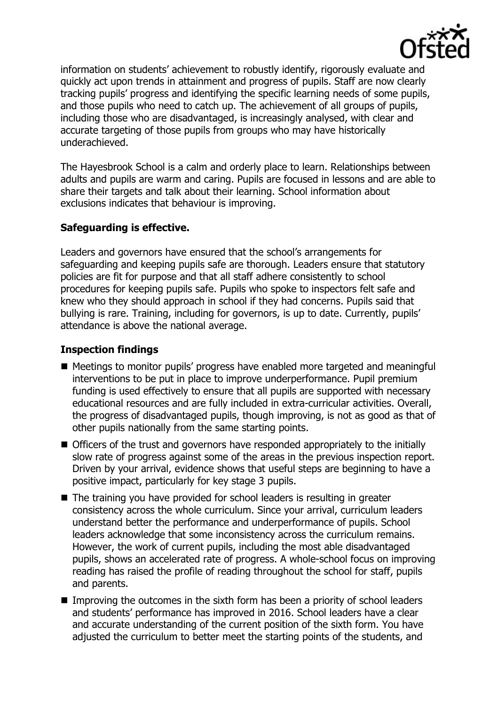

information on students' achievement to robustly identify, rigorously evaluate and quickly act upon trends in attainment and progress of pupils. Staff are now clearly tracking pupils' progress and identifying the specific learning needs of some pupils, and those pupils who need to catch up. The achievement of all groups of pupils, including those who are disadvantaged, is increasingly analysed, with clear and accurate targeting of those pupils from groups who may have historically underachieved.

The Hayesbrook School is a calm and orderly place to learn. Relationships between adults and pupils are warm and caring. Pupils are focused in lessons and are able to share their targets and talk about their learning. School information about exclusions indicates that behaviour is improving.

# **Safeguarding is effective.**

Leaders and governors have ensured that the school's arrangements for safeguarding and keeping pupils safe are thorough. Leaders ensure that statutory policies are fit for purpose and that all staff adhere consistently to school procedures for keeping pupils safe. Pupils who spoke to inspectors felt safe and knew who they should approach in school if they had concerns. Pupils said that bullying is rare. Training, including for governors, is up to date. Currently, pupils' attendance is above the national average.

# **Inspection findings**

- Meetings to monitor pupils' progress have enabled more targeted and meaningful interventions to be put in place to improve underperformance. Pupil premium funding is used effectively to ensure that all pupils are supported with necessary educational resources and are fully included in extra-curricular activities. Overall, the progress of disadvantaged pupils, though improving, is not as good as that of other pupils nationally from the same starting points.
- Officers of the trust and governors have responded appropriately to the initially slow rate of progress against some of the areas in the previous inspection report. Driven by your arrival, evidence shows that useful steps are beginning to have a positive impact, particularly for key stage 3 pupils.
- The training you have provided for school leaders is resulting in greater consistency across the whole curriculum. Since your arrival, curriculum leaders understand better the performance and underperformance of pupils. School leaders acknowledge that some inconsistency across the curriculum remains. However, the work of current pupils, including the most able disadvantaged pupils, shows an accelerated rate of progress. A whole-school focus on improving reading has raised the profile of reading throughout the school for staff, pupils and parents.
- Improving the outcomes in the sixth form has been a priority of school leaders and students' performance has improved in 2016. School leaders have a clear and accurate understanding of the current position of the sixth form. You have adjusted the curriculum to better meet the starting points of the students, and